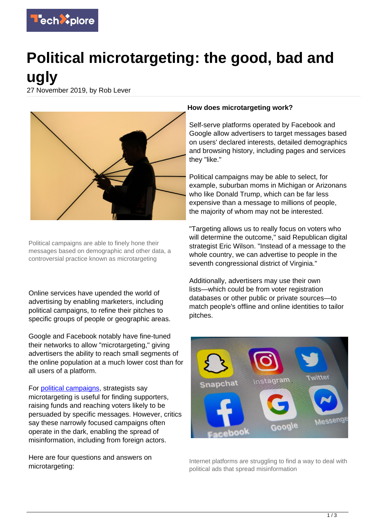

# **Political microtargeting: the good, bad and ugly**

27 November 2019, by Rob Lever



Political campaigns are able to finely hone their messages based on demographic and other data, a controversial practice known as microtargeting

Online services have upended the world of advertising by enabling marketers, including political campaigns, to refine their pitches to specific groups of people or geographic areas.

Google and Facebook notably have fine-tuned their networks to allow "microtargeting," giving advertisers the ability to reach small segments of the online population at a much lower cost than for all users of a platform.

For [political campaigns,](https://techxplore.com/tags/political+campaigns/) strategists say microtargeting is useful for finding supporters, raising funds and reaching voters likely to be persuaded by specific messages. However, critics say these narrowly focused campaigns often operate in the dark, enabling the spread of misinformation, including from foreign actors.

Here are four questions and answers on microtargeting:

#### **How does microtargeting work?**

Self-serve platforms operated by Facebook and Google allow advertisers to target messages based on users' declared interests, detailed demographics and browsing history, including pages and services they "like."

Political campaigns may be able to select, for example, suburban moms in Michigan or Arizonans who like Donald Trump, which can be far less expensive than a message to millions of people, the majority of whom may not be interested.

"Targeting allows us to really focus on voters who will determine the outcome," said Republican digital strategist Eric Wilson. "Instead of a message to the whole country, we can advertise to people in the seventh congressional district of Virginia."

Additionally, advertisers may use their own lists—which could be from voter registration databases or other public or private sources—to match people's offline and online identities to tailor pitches.



Internet platforms are struggling to find a way to deal with political ads that spread misinformation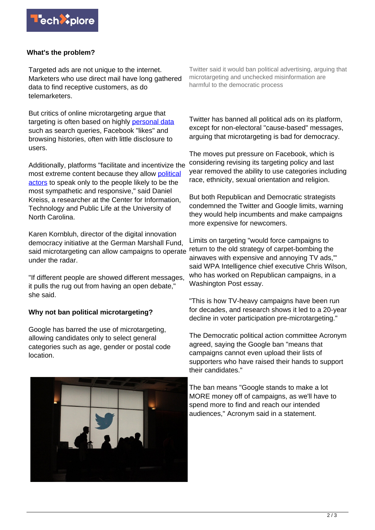

## **What's the problem?**

Targeted ads are not unique to the internet. Marketers who use direct mail have long gathered data to find receptive customers, as do telemarketers.

But critics of online microtargeting argue that targeting is often based on highly [personal data](https://techxplore.com/tags/personal+data/) such as search queries, Facebook "likes" and browsing histories, often with little disclosure to users.

Additionally, platforms "facilitate and incentivize the most extreme content because they allow [political](https://techxplore.com/tags/political+actors/) [actors](https://techxplore.com/tags/political+actors/) to speak only to the people likely to be the most sympathetic and responsive," said Daniel Kreiss, a researcher at the Center for Information, Technology and Public Life at the University of North Carolina.

Karen Kornbluh, director of the digital innovation democracy initiative at the German Marshall Fund, said microtargeting can allow campaigns to operate under the radar.

"If different people are showed different messages, it pulls the rug out from having an open debate," she said.

### **Why not ban political microtargeting?**

Google has barred the use of microtargeting. allowing candidates only to select general categories such as age, gender or postal code location.

Twitter said it would ban political advertising, arguing that microtargeting and unchecked misinformation are harmful to the democratic process

Twitter has banned all political ads on its platform, except for non-electoral "cause-based" messages, arguing that microtargeting is bad for democracy.

The moves put pressure on Facebook, which is considering revising its targeting policy and last year removed the ability to use categories including race, ethnicity, sexual orientation and religion.

But both Republican and Democratic strategists condemned the Twitter and Google limits, warning they would help incumbents and make campaigns more expensive for newcomers.

Limits on targeting "would force campaigns to return to the old strategy of carpet-bombing the airwaves with expensive and annoying TV ads,'" said WPA Intelligence chief executive Chris Wilson, who has worked on Republican campaigns, in a Washington Post essay.

"This is how TV-heavy campaigns have been run for decades, and research shows it led to a 20-year decline in voter participation pre-microtargeting."

The Democratic political action committee Acronym agreed, saying the Google ban "means that campaigns cannot even upload their lists of supporters who have raised their hands to support their candidates."

The ban means "Google stands to make a lot MORE money off of campaigns, as we'll have to spend more to find and reach our intended audiences," Acronym said in a statement.